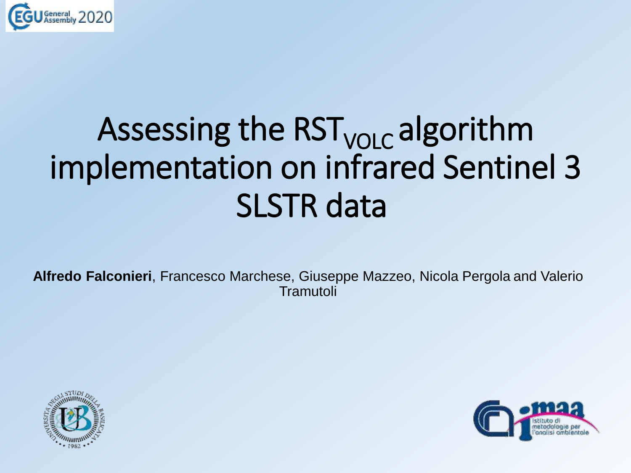

# Assessing the RST<sub>vOLC</sub> algorithm implementation on infrared Sentinel 3 SLSTR data

**Alfredo Falconieri**, Francesco Marchese, Giuseppe Mazzeo, Nicola Pergola and Valerio Tramutoli



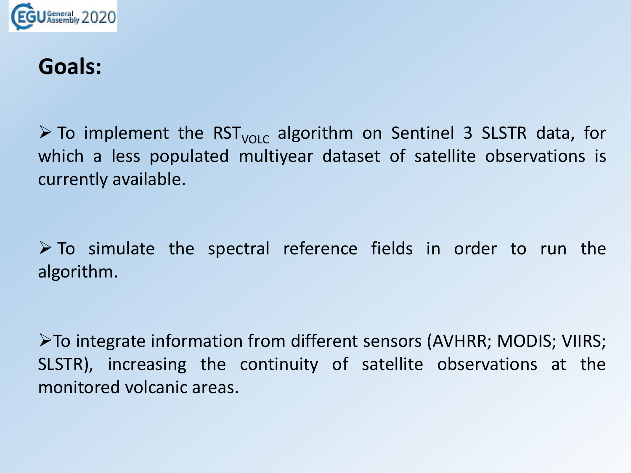

### **Goals:**

 $\triangleright$  To implement the RST<sub>VOLC</sub> algorithm on Sentinel 3 SLSTR data, for which a less populated multiyear dataset of satellite observations is currently available.

 $\triangleright$  To simulate the spectral reference fields in order to run the algorithm.

➢To integrate information from different sensors (AVHRR; MODIS; VIIRS; SLSTR), increasing the continuity of satellite observations at the monitored volcanic areas.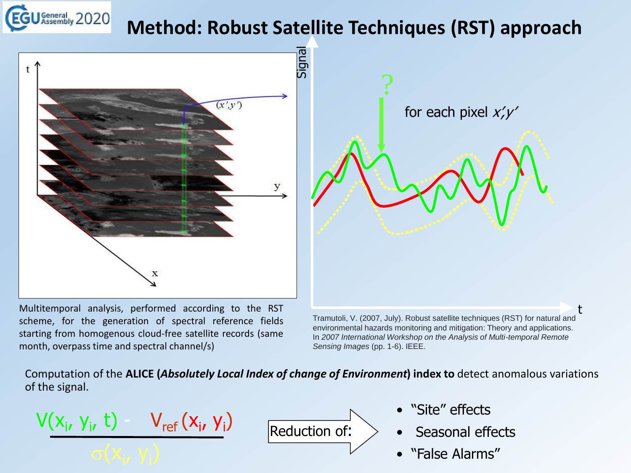### **Method: Robust Satellite Techniques (RST) approach**



Multitemporal analysis, performed according to the RST scheme, for the generation of spectral reference fields starting from homogenous cloud-free satellite records (same month, overpass time and spectral channel/s)



environmental hazards monitoring and mitigation: Theory and applications. In *2007 International Workshop on the Analysis of Multi-temporal Remote Sensing Images* (pp. 1-6). IEEE.

t

Computation of the **ALICE (***Absolutely Local Index of change of Environment***) index to** detect anomalous variations of the signal.

 $V(x_i, y_i, t) - V_{ref}(x_i, y_i)$ 

Reduction of:

- "Site" effects
- Seasonal effects
- "False Alarms"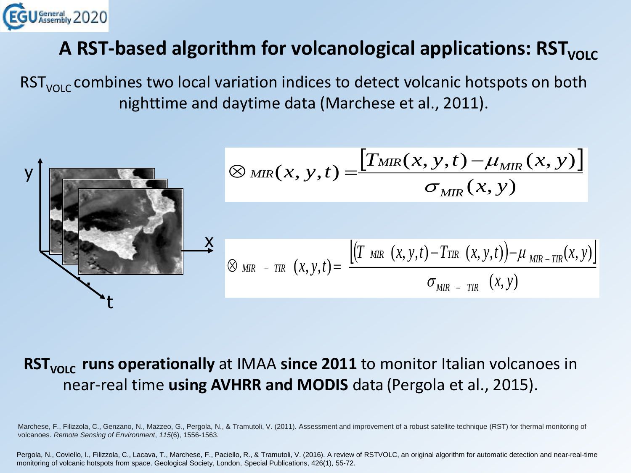

#### **A RST-based algorithm for volcanological applications: RST**<sub>VOLC</sub>

 $RST_{VOL}$  combines two local variation indices to detect volcanic hotspots on both nighttime and daytime data (Marchese et al., 2011).

$$
\varphi_{\text{MIR}}(x, y, t) = \frac{[T_{\text{MIR}}(x, y, t) - \mu_{\text{MIR}}(x, y)]}{\sigma_{\text{MIR}}(x, y)}
$$
\n
$$
\varphi_{\text{MIR}}(x, y, t) = \frac{[(T_{\text{MIR}}(x, y, t) - T_{\text{TIR}}(x, y, t)) - \mu_{\text{MIR-TIR}}(x, y)]}{\sigma_{\text{MIR - TIR}}(x, y)}
$$

#### **RST<sub>VOLC</sub>** runs operationally at IMAA since 2011 to monitor Italian volcanoes in near-real time **using AVHRR and MODIS** data (Pergola et al., 2015).

Marchese, F., Filizzola, C., Genzano, N., Mazzeo, G., Pergola, N., & Tramutoli, V. (2011). Assessment and improvement of a robust satellite technique (RST) for thermal monitoring of volcanoes. *Remote Sensing of Environment*, *115*(6), 1556-1563.

Pergola, N., Coviello, I., Filizzola, C., Lacava, T., Marchese, F., Paciello, R., & Tramutoli, V. (2016). A review of RSTVOLC, an original algorithm for automatic detection and near-real-time monitoring of volcanic hotspots from space. Geological Society, London, Special Publications, 426(1), 55-72.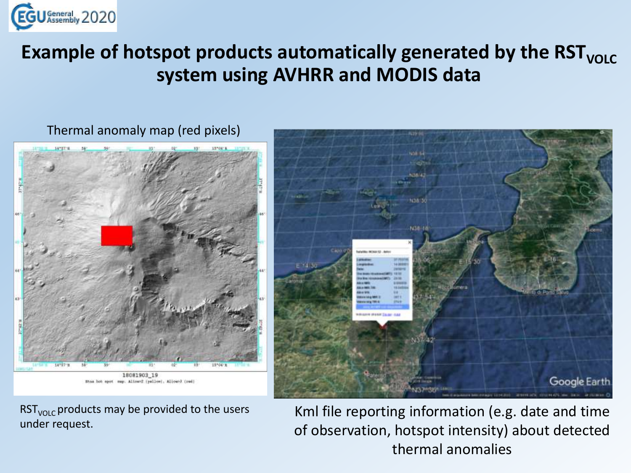

#### **Example** of hotspot products automatically generated by the RST<sub>VOLC</sub> **system using AVHRR and MODIS data**



Thermal anomaly map (red pixels)

RST<sub>VOLC</sub> products may be provided to the users under request.



Kml file reporting information (e.g. date and time of observation, hotspot intensity) about detected thermal anomalies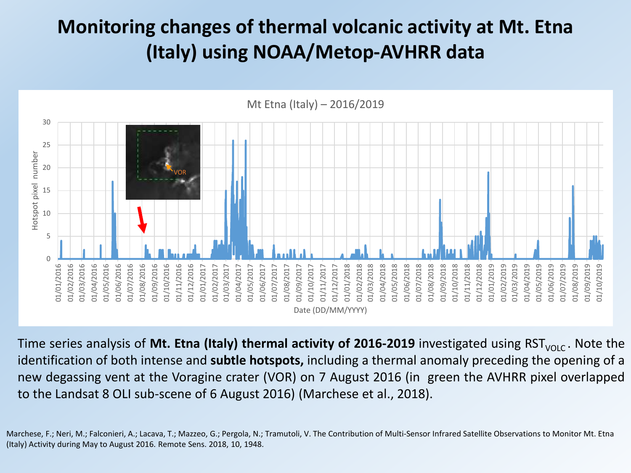#### **Monitoring changes of thermal volcanic activity at Mt. Etna (Italy) using NOAA/Metop-AVHRR data**



Time series analysis of Mt. Etna (Italy) thermal activity of 2016-2019 investigated using RST<sub>VOLC</sub>. Note the identification of both intense and **subtle hotspots,** including a thermal anomaly preceding the opening of a new degassing vent at the Voragine crater (VOR) on 7 August 2016 (in green the AVHRR pixel overlapped to the Landsat 8 OLI sub-scene of 6 August 2016) (Marchese et al., 2018).

Marchese, F.; Neri, M.; Falconieri, A.; Lacava, T.; Mazzeo, G.; Pergola, N.; Tramutoli, V. The Contribution of Multi-Sensor Infrared Satellite Observations to Monitor Mt. Etna (Italy) Activity during May to August 2016. Remote Sens. 2018, 10, 1948.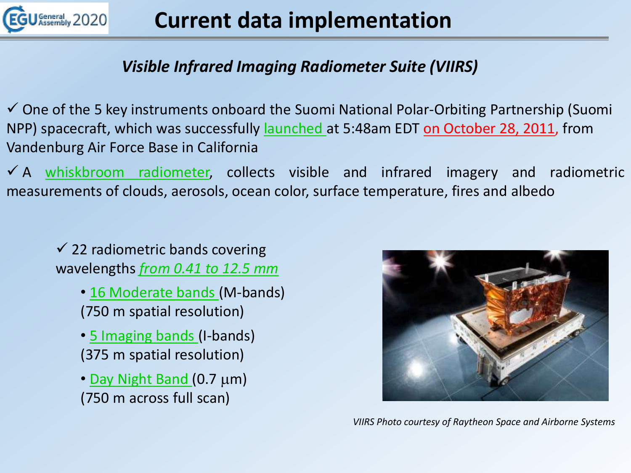

#### *Visible Infrared Imaging Radiometer Suite (VIIRS)*

✓ One of the 5 key instruments onboard the Suomi National Polar-Orbiting Partnership (Suomi NPP) spacecraft, which was successfully launched at 5:48am EDT on October 28, 2011, from Vandenburg Air Force Base in California

 $\checkmark$  A whiskbroom radiometer, collects visible and infrared imagery and radiometric measurements of clouds, aerosols, ocean color, surface temperature, fires and albedo

 $\checkmark$  22 radiometric bands covering wavelengths *from 0.41 to 12.5 mm*

- 16 Moderate bands (M-bands) (750 m spatial resolution)
- 5 Imaging bands (I-bands) (375 m spatial resolution)
- Day Night Band  $(0.7 \mu m)$ (750 m across full scan)



*VIIRS Photo courtesy of Raytheon Space and Airborne Systems*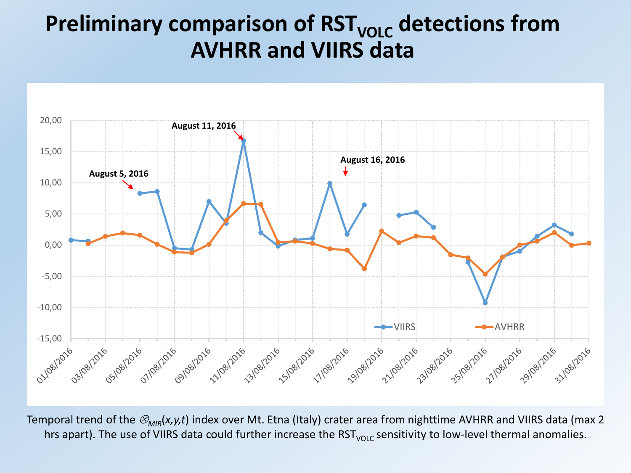## **Preliminary comparison of RST<sub>VOLC</sub> detections from AVHRR and VIIRS data**



Temporal trend of the  $\mathcal{D}_{MIR}(x,y,t)$  index over Mt. Etna (Italy) crater area from nighttime AVHRR and VIIRS data (max 2 hrs apart). The use of VIIRS data could further increase the RST<sub>VOLC</sub> sensitivity to low-level thermal anomalies.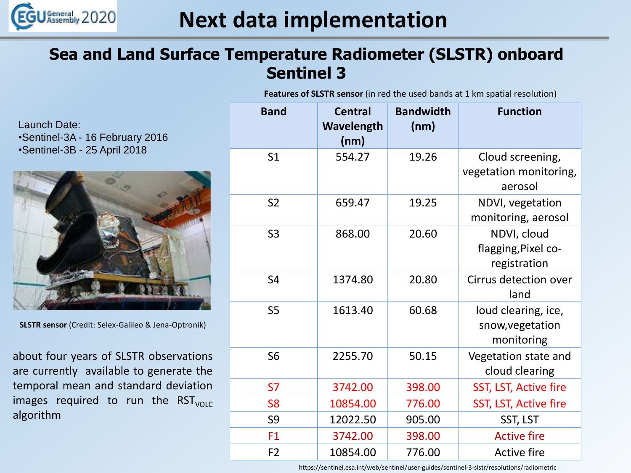

#### **Sea and Land Surface Temperature Radiometer (SLSTR) onboard Sentinel 3**

**Features of SLSTR sensor** (in red the used bands at 1 km spatial resolution)

Launch Date: •Sentinel-3A - 16 February 2016 •Sentinel-3B - 25 April 2018



**SLSTR sensor** (Credit: Selex-Galileo & Jena-Optronik)

about four years of SLSTR observations are currently available to generate the temporal mean and standard deviation images required to run the  $RST<sub>VOLC</sub>$ algorithm

| <b>Band</b>    | <b>Central</b><br>Wavelength<br>(nm) | <b>Bandwidth</b><br>(nm) | <b>Function</b>                                       |
|----------------|--------------------------------------|--------------------------|-------------------------------------------------------|
| S <sub>1</sub> | 554.27                               | 19.26                    | Cloud screening,<br>vegetation monitoring,<br>aerosol |
| S <sub>2</sub> | 659.47                               | 19.25                    | NDVI, vegetation<br>monitoring, aerosol               |
| S <sub>3</sub> | 868.00                               | 20.60                    | NDVI, cloud<br>flagging, Pixel co-<br>registration    |
| S <sub>4</sub> | 1374.80                              | 20.80                    | Cirrus detection over<br>land                         |
| S <sub>5</sub> | 1613.40                              | 60.68                    | loud clearing, ice,<br>snow, vegetation<br>monitoring |
| S <sub>6</sub> | 2255.70                              | 50.15                    | Vegetation state and<br>cloud clearing                |
| <b>S7</b>      | 3742.00                              | 398.00                   | SST, LST, Active fire                                 |
| S <sub>8</sub> | 10854.00                             | 776.00                   | SST, LST, Active fire                                 |
| S9             | 12022.50                             | 905.00                   | SST, LST                                              |
| F1             | 3742.00                              | 398.00                   | <b>Active fire</b>                                    |
| F <sub>2</sub> | 10854.00                             | 776.00                   | <b>Active fire</b>                                    |

https://sentinel.esa.int/web/sentinel/user-guides/sentinel-3-slstr/resolutions/radiometric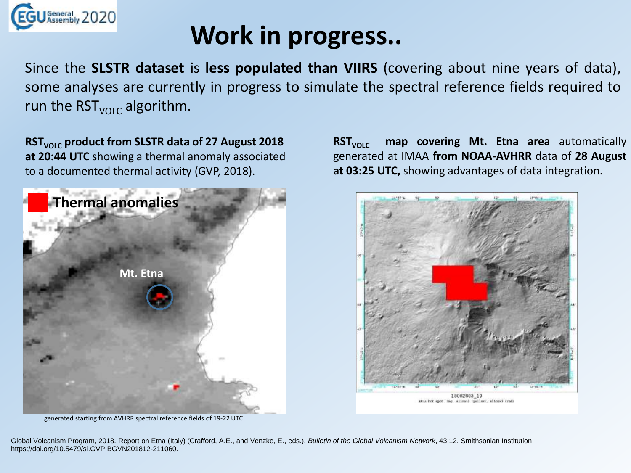

# **Work in progress..**

Since the **SLSTR dataset** is **less populated than VIIRS** (covering about nine years of data), some analyses are currently in progress to simulate the spectral reference fields required to run the  $RST_{VOLC}$  algorithm.

**RSTVOLC product from SLSTR data of 27 August 2018 at 20:44 UTC** showing a thermal anomaly associated to a documented thermal activity (GVP, 2018).



**RST**<sub>VOLC</sub> map covering Mt. Etna area automatically generated at IMAA **from NOAA-AVHRR** data of **28 August at 03:25 UTC,** showing advantages of data integration.



generated starting from AVHRR spectral reference fields of 19-22 UTC.

Global Volcanism Program, 2018. Report on Etna (Italy) (Crafford, A.E., and Venzke, E., eds.). *Bulletin of the Global Volcanism Network*, 43:12. Smithsonian Institution. https://doi.org/10.5479/si.GVP.BGVN201812-211060.